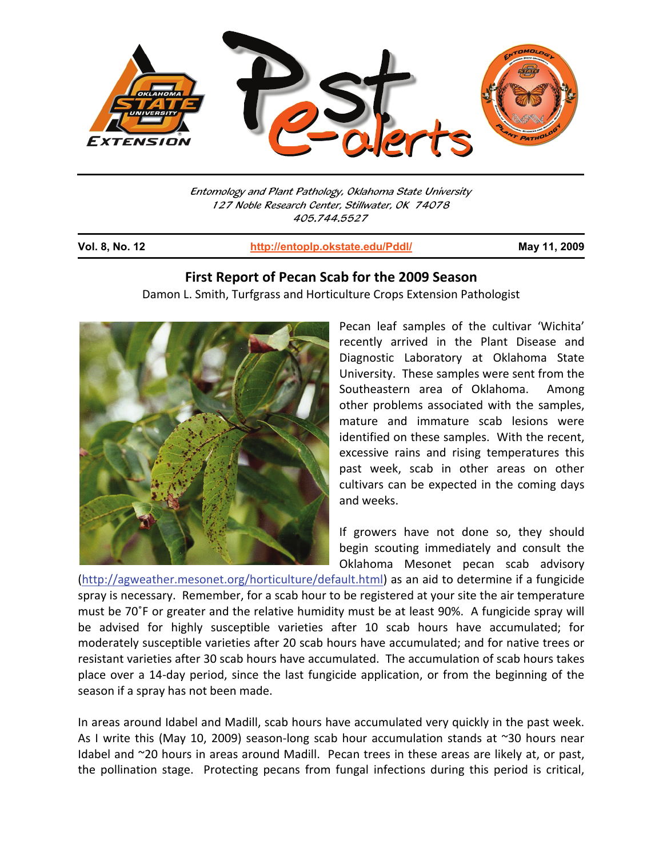

Entomology and Plant Pathology, Oklahoma State University 127 Noble Research Center, Stillwater, OK 74078 405.744.5527

j

**Vol. 8, No. 12 http://entoplp.okstate.edu/Pddl/ May 11, 2009**

## **First Report of Pecan Scab for the 2009 Season**

Damon L. Smith, Turfgrass and Horticulture Crops Extension Pathologist



Pecan leaf samples of the cultivar 'Wichita' recently arrived in the Plant Disease and Diagnostic Laboratory at Oklahoma State University. These samples were sent from the Southeastern area of Oklahoma. Among other problems associated with the samples, mature and immature scab lesions were identified on these samples. With the recent, excessive rains and rising temperatures this past week, scab in other areas on other cultivars can be expected in the coming days and weeks.

If growers have not done so, they should begin scouting immediately and consult the Oklahoma Mesonet pecan scab advisory

(http://agweather.mesonet.org/horticulture/default.html) as an aid to determine if a fungicide spray is necessary. Remember, for a scab hour to be registered at your site the air temperature must be 70˚F or greater and the relative humidity must be at least 90%. A fungicide spray will be advised for highly susceptible varieties after 10 scab hours have accumulated; for moderately susceptible varieties after 20 scab hours have accumulated; and for native trees or resistant varieties after 30 scab hours have accumulated. The accumulation of scab hours takes place over a 14-day period, since the last fungicide application, or from the beginning of the season if a spray has not been made.

In areas around Idabel and Madill, scab hours have accumulated very quickly in the past week. As I write this (May 10, 2009) season-long scab hour accumulation stands at ~30 hours near Idabel and ~20 hours in areas around Madill. Pecan trees in these areas are likely at, or past, the pollination stage. Protecting pecans from fungal infections during this period is critical,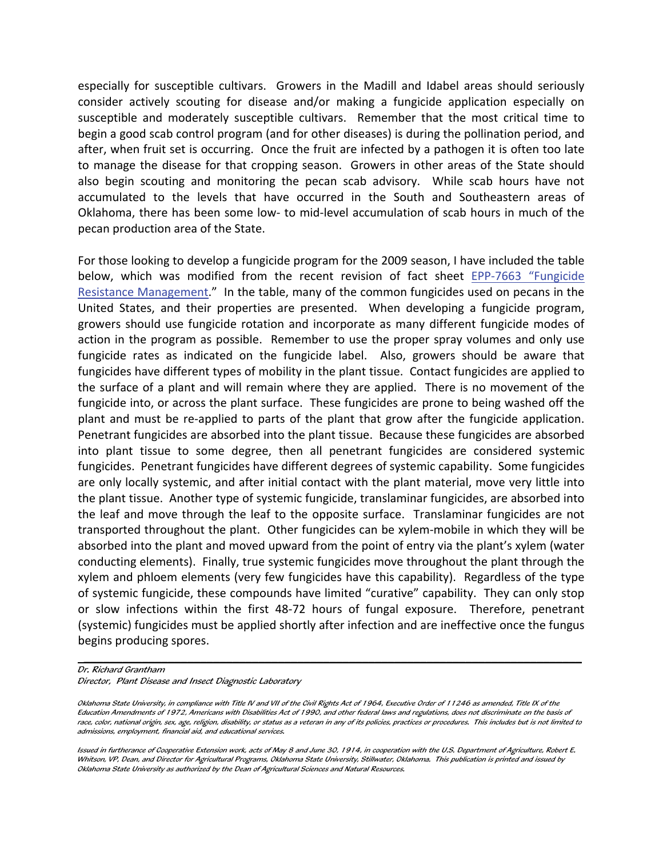especially for susceptible cultivars. Growers in the Madill and Idabel areas should seriously consider actively scouting for disease and/or making a fungicide application especially on susceptible and moderately susceptible cultivars. Remember that the most critical time to begin a good scab control program (and for other diseases) is during the pollination period, and after, when fruit set is occurring. Once the fruit are infected by a pathogen it is often too late to manage the disease for that cropping season. Growers in other areas of the State should also begin scouting and monitoring the pecan scab advisory. While scab hours have not accumulated to the levels that have occurred in the South and Southeastern areas of Oklahoma, there has been some low- to mid-level accumulation of scab hours in much of the pecan production area of the State.

For those looking to develop a fungicide program for the 2009 season, I have included the table below, which was modified from the recent revision of fact sheet EPP-7663 "Fungicide Resistance Management." In the table, many of the common fungicides used on pecans in the United States, and their properties are presented. When developing a fungicide program, growers should use fungicide rotation and incorporate as many different fungicide modes of action in the program as possible. Remember to use the proper spray volumes and only use fungicide rates as indicated on the fungicide label. Also, growers should be aware that fungicides have different types of mobility in the plant tissue. Contact fungicides are applied to the surface of a plant and will remain where they are applied. There is no movement of the fungicide into, or across the plant surface. These fungicides are prone to being washed off the plant and must be re-applied to parts of the plant that grow after the fungicide application. Penetrant fungicides are absorbed into the plant tissue. Because these fungicides are absorbed into plant tissue to some degree, then all penetrant fungicides are considered systemic fungicides. Penetrant fungicides have different degrees of systemic capability. Some fungicides are only locally systemic, and after initial contact with the plant material, move very little into the plant tissue. Another type of systemic fungicide, translaminar fungicides, are absorbed into the leaf and move through the leaf to the opposite surface. Translaminar fungicides are not transported throughout the plant. Other fungicides can be xylem-mobile in which they will be absorbed into the plant and moved upward from the point of entry via the plant's xylem (water conducting elements). Finally, true systemic fungicides move throughout the plant through the xylem and phloem elements (very few fungicides have this capability). Regardless of the type of systemic fungicide, these compounds have limited "curative" capability. They can only stop or slow infections within the first 48-72 hours of fungal exposure. Therefore, penetrant (systemic) fungicides must be applied shortly after infection and are ineffective once the fungus begins producing spores.

 $\mathcal{L}_\text{max}$  and  $\mathcal{L}_\text{max}$  and  $\mathcal{L}_\text{max}$  and  $\mathcal{L}_\text{max}$  and  $\mathcal{L}_\text{max}$  and  $\mathcal{L}_\text{max}$ 

Dr. Richard Grantham Director, Plant Disease and Insect Diagnostic Laboratory

Oklahoma State University, in compliance with Title IV and VII of the Civil Rights Act of 1964, Executive Order of 11246 as amended, Title IX of the Education Amendments of 1972, Americans with Disabilities Act of 1990, and other federal laws and regulations, does not discriminate on the basis of race, color, national origin, sex, age, religion, disability, or status as a veteran in any of its policies, practices or procedures. This includes but is not limited to admissions, employment, financial aid, and educational services.

Issued in furtherance of Cooperative Extension work, acts of May 8 and June 30, 1914, in cooperation with the U.S. Department of Agriculture, Robert E. Whitson, VP, Dean, and Director for Agricultural Programs, Oklahoma State University, Stillwater, Oklahoma. This publication is printed and issued by Oklahoma State University as authorized by the Dean of Agricultural Sciences and Natural Resources.